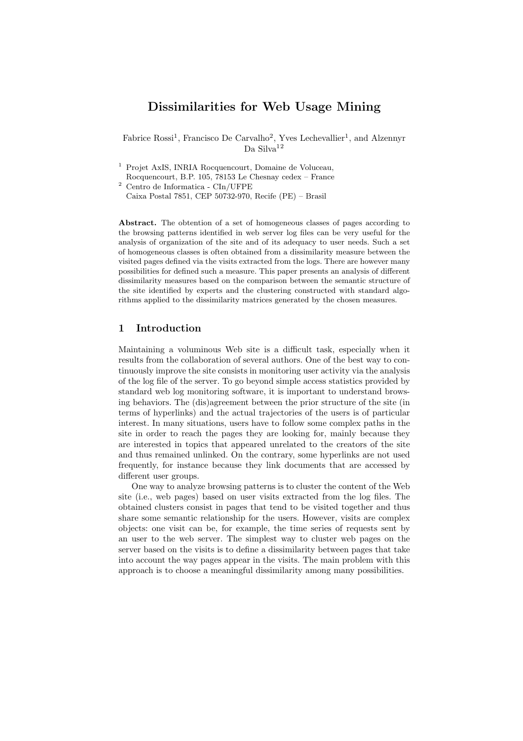# Dissimilarities for Web Usage Mining

Fabrice Rossi<sup>1</sup>, Francisco De Carvalho<sup>2</sup>, Yves Lechevallier<sup>1</sup>, and Alzennyr Da Silva<sup>12</sup>

<sup>1</sup> Projet AxIS, INRIA Rocquencourt, Domaine de Voluceau, Rocquencourt, B.P. 105, 78153 Le Chesnay cedex – France

 $^2$  Centro de Informatica -  $\rm CIn/UFPE$ Caixa Postal 7851, CEP 50732-970, Recife (PE) – Brasil

Abstract. The obtention of a set of homogeneous classes of pages according to the browsing patterns identified in web server log files can be very useful for the analysis of organization of the site and of its adequacy to user needs. Such a set of homogeneous classes is often obtained from a dissimilarity measure between the visited pages defined via the visits extracted from the logs. There are however many possibilities for defined such a measure. This paper presents an analysis of different dissimilarity measures based on the comparison between the semantic structure of the site identified by experts and the clustering constructed with standard algorithms applied to the dissimilarity matrices generated by the chosen measures.

## 1 Introduction

Maintaining a voluminous Web site is a difficult task, especially when it results from the collaboration of several authors. One of the best way to continuously improve the site consists in monitoring user activity via the analysis of the log file of the server. To go beyond simple access statistics provided by standard web log monitoring software, it is important to understand browsing behaviors. The (dis)agreement between the prior structure of the site (in terms of hyperlinks) and the actual trajectories of the users is of particular interest. In many situations, users have to follow some complex paths in the site in order to reach the pages they are looking for, mainly because they are interested in topics that appeared unrelated to the creators of the site and thus remained unlinked. On the contrary, some hyperlinks are not used frequently, for instance because they link documents that are accessed by different user groups.

One way to analyze browsing patterns is to cluster the content of the Web site (i.e., web pages) based on user visits extracted from the log files. The obtained clusters consist in pages that tend to be visited together and thus share some semantic relationship for the users. However, visits are complex objects: one visit can be, for example, the time series of requests sent by an user to the web server. The simplest way to cluster web pages on the server based on the visits is to define a dissimilarity between pages that take into account the way pages appear in the visits. The main problem with this approach is to choose a meaningful dissimilarity among many possibilities.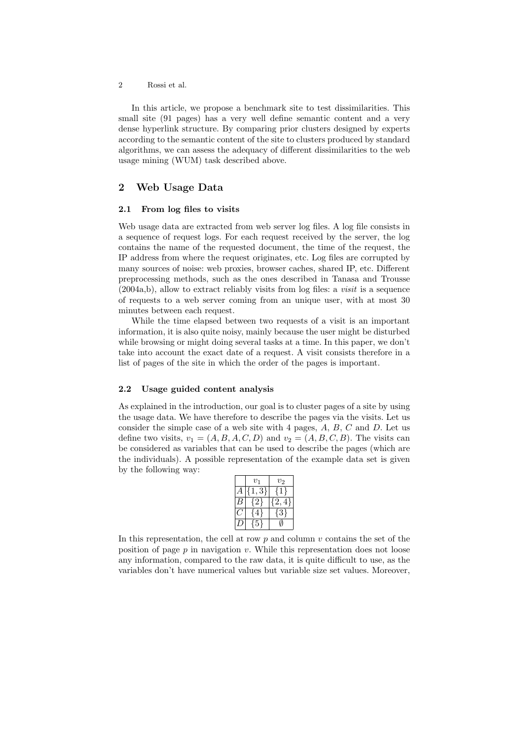In this article, we propose a benchmark site to test dissimilarities. This small site (91 pages) has a very well define semantic content and a very dense hyperlink structure. By comparing prior clusters designed by experts according to the semantic content of the site to clusters produced by standard algorithms, we can assess the adequacy of different dissimilarities to the web usage mining (WUM) task described above.

# 2 Web Usage Data

#### 2.1 From log files to visits

Web usage data are extracted from web server log files. A log file consists in a sequence of request logs. For each request received by the server, the log contains the name of the requested document, the time of the request, the IP address from where the request originates, etc. Log files are corrupted by many sources of noise: web proxies, browser caches, shared IP, etc. Different preprocessing methods, such as the ones described in Tanasa and Trousse  $(2004a,b)$ , allow to extract reliably visits from log files: a *visit* is a sequence of requests to a web server coming from an unique user, with at most 30 minutes between each request.

While the time elapsed between two requests of a visit is an important information, it is also quite noisy, mainly because the user might be disturbed while browsing or might doing several tasks at a time. In this paper, we don't take into account the exact date of a request. A visit consists therefore in a list of pages of the site in which the order of the pages is important.

### 2.2 Usage guided content analysis

As explained in the introduction, our goal is to cluster pages of a site by using the usage data. We have therefore to describe the pages via the visits. Let us consider the simple case of a web site with 4 pages, A, B, C and D. Let us define two visits,  $v_1 = (A, B, A, C, D)$  and  $v_2 = (A, B, C, B)$ . The visits can be considered as variables that can be used to describe the pages (which are the individuals). A possible representation of the example data set is given by the following way:

| $v_1$ | $\boldsymbol{v}_2$ |
|-------|--------------------|
|       |                    |
| I.    |                    |
|       | સ                  |
|       |                    |

In this representation, the cell at row  $p$  and column  $v$  contains the set of the position of page  $p$  in navigation  $v$ . While this representation does not loose any information, compared to the raw data, it is quite difficult to use, as the variables don't have numerical values but variable size set values. Moreover,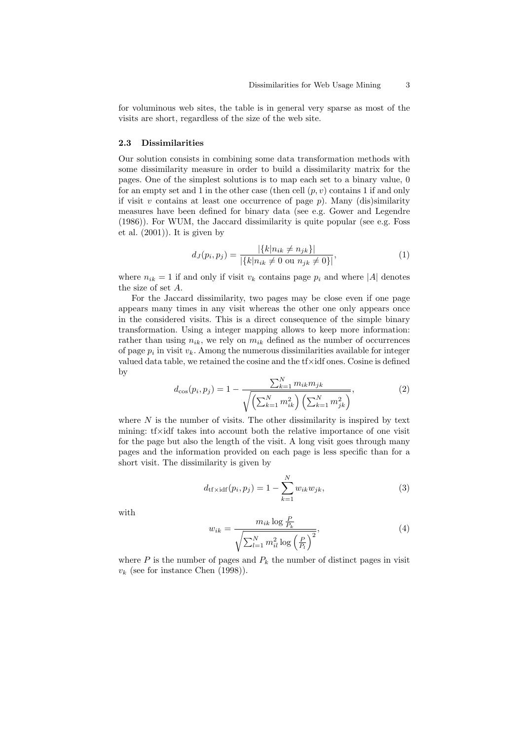for voluminous web sites, the table is in general very sparse as most of the visits are short, regardless of the size of the web site.

#### 2.3 Dissimilarities

Our solution consists in combining some data transformation methods with some dissimilarity measure in order to build a dissimilarity matrix for the pages. One of the simplest solutions is to map each set to a binary value, 0 for an empty set and 1 in the other case (then cell  $(p, v)$  contains 1 if and only if visit  $v$  contains at least one occurrence of page  $p$ ). Many (dis)similarity measures have been defined for binary data (see e.g. Gower and Legendre (1986)). For WUM, the Jaccard dissimilarity is quite popular (see e.g. Foss et al.  $(2001)$ ). It is given by

$$
d_J(p_i, p_j) = \frac{|\{k|n_{ik} \neq n_{jk}\}|}{|\{k|n_{ik} \neq 0 \text{ ou } n_{jk} \neq 0\}|},\tag{1}
$$

where  $n_{ik} = 1$  if and only if visit  $v_k$  contains page  $p_i$  and where |A| denotes the size of set A.

For the Jaccard dissimilarity, two pages may be close even if one page appears many times in any visit whereas the other one only appears once in the considered visits. This is a direct consequence of the simple binary transformation. Using a integer mapping allows to keep more information: rather than using  $n_{ik}$ , we rely on  $m_{ik}$  defined as the number of occurrences of page  $p_i$  in visit  $v_k$ . Among the numerous dissimilarities available for integer valued data table, we retained the cosine and the tf×idf ones. Cosine is defined by

$$
d_{\cos}(p_i, p_j) = 1 - \frac{\sum_{k=1}^{N} m_{ik} m_{jk}}{\sqrt{\left(\sum_{k=1}^{N} m_{ik}^2\right) \left(\sum_{k=1}^{N} m_{jk}^2\right)}},\tag{2}
$$

where  $N$  is the number of visits. The other dissimilarity is inspired by text mining: tf×idf takes into account both the relative importance of one visit for the page but also the length of the visit. A long visit goes through many pages and the information provided on each page is less specific than for a short visit. The dissimilarity is given by

$$
d_{\text{tfxidf}}(p_i, p_j) = 1 - \sum_{k=1}^{N} w_{ik} w_{jk},
$$
\n(3)

with

$$
w_{ik} = \frac{m_{ik} \log \frac{P}{P_k}}{\sqrt{\sum_{l=1}^{N} m_{il}^2 \log \left(\frac{P}{P_l}\right)^2}},\tag{4}
$$

where  $P$  is the number of pages and  $P_k$  the number of distinct pages in visit  $v_k$  (see for instance Chen (1998)).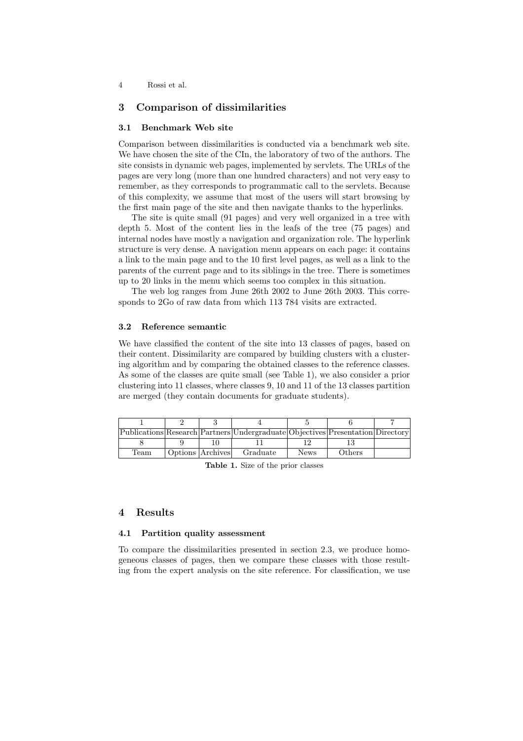# 3 Comparison of dissimilarities

#### 3.1 Benchmark Web site

Comparison between dissimilarities is conducted via a benchmark web site. We have chosen the site of the CIn, the laboratory of two of the authors. The site consists in dynamic web pages, implemented by servlets. The URLs of the pages are very long (more than one hundred characters) and not very easy to remember, as they corresponds to programmatic call to the servlets. Because of this complexity, we assume that most of the users will start browsing by the first main page of the site and then navigate thanks to the hyperlinks.

The site is quite small (91 pages) and very well organized in a tree with depth 5. Most of the content lies in the leafs of the tree (75 pages) and internal nodes have mostly a navigation and organization role. The hyperlink structure is very dense. A navigation menu appears on each page: it contains a link to the main page and to the 10 first level pages, as well as a link to the parents of the current page and to its siblings in the tree. There is sometimes up to 20 links in the menu which seems too complex in this situation.

The web log ranges from June 26th 2002 to June 26th 2003. This corresponds to 2Go of raw data from which 113 784 visits are extracted.

#### 3.2 Reference semantic

We have classified the content of the site into 13 classes of pages, based on their content. Dissimilarity are compared by building clusters with a clustering algorithm and by comparing the obtained classes to the reference classes. As some of the classes are quite small (see Table 1), we also consider a prior clustering into 11 classes, where classes 9, 10 and 11 of the 13 classes partition are merged (they contain documents for graduate students).

|      |                  | Publications Research Partners Undergraduate Objectives Presentation Directory |             |        |  |
|------|------------------|--------------------------------------------------------------------------------|-------------|--------|--|
|      |                  |                                                                                |             |        |  |
| Team | Options Archives | Graduate                                                                       | <b>News</b> | Others |  |

Table 1. Size of the prior classes

### 4 Results

#### 4.1 Partition quality assessment

To compare the dissimilarities presented in section 2.3, we produce homogeneous classes of pages, then we compare these classes with those resulting from the expert analysis on the site reference. For classification, we use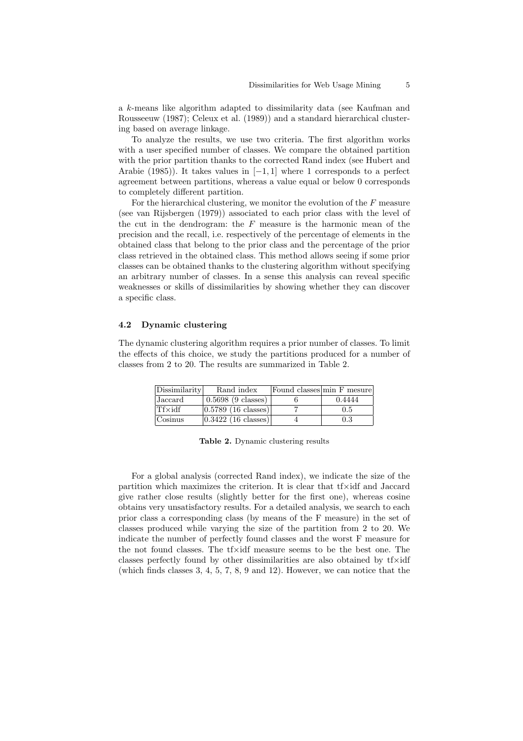a k-means like algorithm adapted to dissimilarity data (see Kaufman and Rousseeuw (1987); Celeux et al. (1989)) and a standard hierarchical clustering based on average linkage.

To analyze the results, we use two criteria. The first algorithm works with a user specified number of classes. We compare the obtained partition with the prior partition thanks to the corrected Rand index (see Hubert and Arabie (1985)). It takes values in  $[-1, 1]$  where 1 corresponds to a perfect agreement between partitions, whereas a value equal or below 0 corresponds to completely different partition.

For the hierarchical clustering, we monitor the evolution of the  $F$  measure (see van Rijsbergen (1979)) associated to each prior class with the level of the cut in the dendrogram: the  $F$  measure is the harmonic mean of the precision and the recall, i.e. respectively of the percentage of elements in the obtained class that belong to the prior class and the percentage of the prior class retrieved in the obtained class. This method allows seeing if some prior classes can be obtained thanks to the clustering algorithm without specifying an arbitrary number of classes. In a sense this analysis can reveal specific weaknesses or skills of dissimilarities by showing whether they can discover a specific class.

#### 4.2 Dynamic clustering

The dynamic clustering algorithm requires a prior number of classes. To limit the effects of this choice, we study the partitions produced for a number of classes from 2 to 20. The results are summarized in Table 2.

| Dissimilarity   | Rand index                        | Found classes min F mesure |
|-----------------|-----------------------------------|----------------------------|
| Jaccard         | $0.5698$ (9 classes)              | 0.4444                     |
| $Tf \times idf$ | $(0.5789)(16 \text{ classes})$    | 0.5                        |
| Cosinus         | $ 0.3422 \ (16 \text{ classes}) $ | 0.3                        |

Table 2. Dynamic clustering results

For a global analysis (corrected Rand index), we indicate the size of the partition which maximizes the criterion. It is clear that tf×idf and Jaccard give rather close results (slightly better for the first one), whereas cosine obtains very unsatisfactory results. For a detailed analysis, we search to each prior class a corresponding class (by means of the F measure) in the set of classes produced while varying the size of the partition from 2 to 20. We indicate the number of perfectly found classes and the worst F measure for the not found classes. The tf×idf measure seems to be the best one. The classes perfectly found by other dissimilarities are also obtained by tf×idf (which finds classes 3, 4, 5, 7, 8, 9 and 12). However, we can notice that the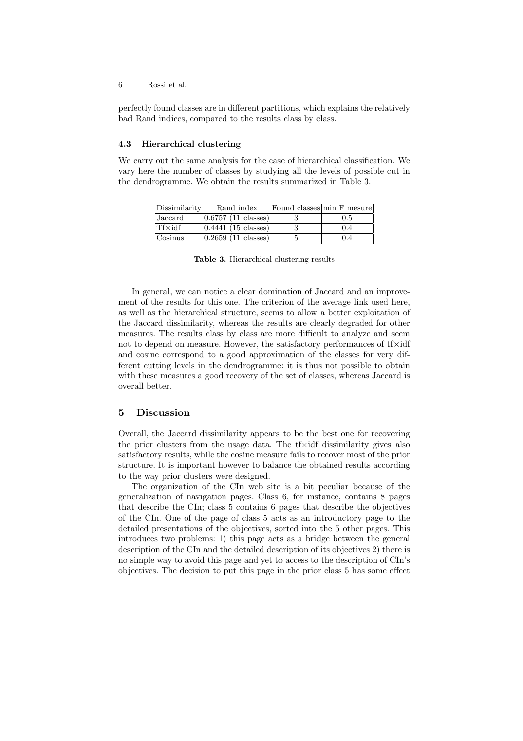perfectly found classes are in different partitions, which explains the relatively bad Rand indices, compared to the results class by class.

#### 4.3 Hierarchical clustering

We carry out the same analysis for the case of hierarchical classification. We vary here the number of classes by studying all the levels of possible cut in the dendrogramme. We obtain the results summarized in Table 3.

| Dissimilarity   | Rand index                     | Found classes min F mesure |
|-----------------|--------------------------------|----------------------------|
| Jaccard         | $(0.6757)(11 \text{ classes})$ | 0.5                        |
| $Tf \times idf$ | $ 0.4441(15 \text{ classes}) $ | 0.4                        |
| Cosinus         | $ 0.2659(11 \text{ classes}) $ | 0.4                        |

Table 3. Hierarchical clustering results

In general, we can notice a clear domination of Jaccard and an improvement of the results for this one. The criterion of the average link used here, as well as the hierarchical structure, seems to allow a better exploitation of the Jaccard dissimilarity, whereas the results are clearly degraded for other measures. The results class by class are more difficult to analyze and seem not to depend on measure. However, the satisfactory performances of tf×idf and cosine correspond to a good approximation of the classes for very different cutting levels in the dendrogramme: it is thus not possible to obtain with these measures a good recovery of the set of classes, whereas Jaccard is overall better.

### 5 Discussion

Overall, the Jaccard dissimilarity appears to be the best one for recovering the prior clusters from the usage data. The tf×idf dissimilarity gives also satisfactory results, while the cosine measure fails to recover most of the prior structure. It is important however to balance the obtained results according to the way prior clusters were designed.

The organization of the CIn web site is a bit peculiar because of the generalization of navigation pages. Class 6, for instance, contains 8 pages that describe the CIn; class 5 contains 6 pages that describe the objectives of the CIn. One of the page of class 5 acts as an introductory page to the detailed presentations of the objectives, sorted into the 5 other pages. This introduces two problems: 1) this page acts as a bridge between the general description of the CIn and the detailed description of its objectives 2) there is no simple way to avoid this page and yet to access to the description of CIn's objectives. The decision to put this page in the prior class 5 has some effect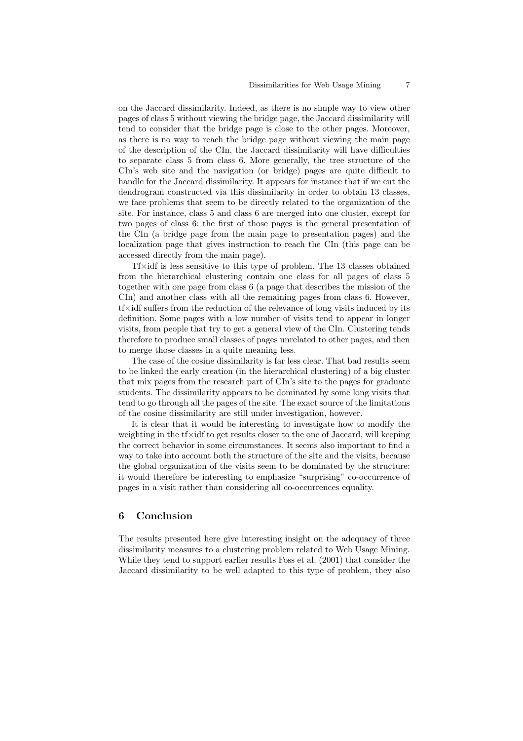on the Jaccard dissimilarity. Indeed, as there is no simple way to view other pages of class 5 without viewing the bridge page, the Jaccard dissimilarity will tend to consider that the bridge page is close to the other pages. Moreover, as there is no way to reach the bridge page without viewing the main page of the description of the CIn, the Jaccard dissimilarity will have difficulties to separate class 5 from class 6. More generally, the tree structure of the CIn's web site and the navigation (or bridge) pages are quite difficult to handle for the Jaccard dissimilarity. It appears for instance that if we cut the dendrogram constructed via this dissimilarity in order to obtain 13 classes, we face problems that seem to be directly related to the organization of the site. For instance, class 5 and class 6 are merged into one cluster, except for two pages of class 6: the first of those pages is the general presentation of the CIn (a bridge page from the main page to presentation pages) and the localization page that gives instruction to reach the CIn (this page can be accessed directly from the main page).

Tf×idf is less sensitive to this type of problem. The 13 classes obtained from the hierarchical clustering contain one class for all pages of class 5 together with one page from class 6 (a page that describes the mission of the CIn) and another class with all the remaining pages from class 6. However, tf×idf suffers from the reduction of the relevance of long visits induced by its definition. Some pages with a low number of visits tend to appear in longer visits, from people that try to get a general view of the CIn. Clustering tends therefore to produce small classes of pages unrelated to other pages, and then to merge those classes in a quite meaning less.

The case of the cosine dissimilarity is far less clear. That bad results seem to be linked the early creation (in the hierarchical clustering) of a big cluster that mix pages from the research part of CIn's site to the pages for graduate students. The dissimilarity appears to be dominated by some long visits that tend to go through all the pages of the site. The exact source of the limitations of the cosine dissimilarity are still under investigation, however.

It is clear that it would be interesting to investigate how to modify the weighting in the  $f \times idf$  to get results closer to the one of Jaccard, will keeping the correct behavior in some circumstances. It seems also important to find a way to take into account both the structure of the site and the visits, because the global organization of the visits seem to be dominated by the structure: it would therefore be interesting to emphasize "surprising" co-occurrence of pages in a visit rather than considering all co-occurrences equality.

### 6 Conclusion

The results presented here give interesting insight on the adequacy of three dissimilarity measures to a clustering problem related to Web Usage Mining. While they tend to support earlier results Foss et al. (2001) that consider the Jaccard dissimilarity to be well adapted to this type of problem, they also